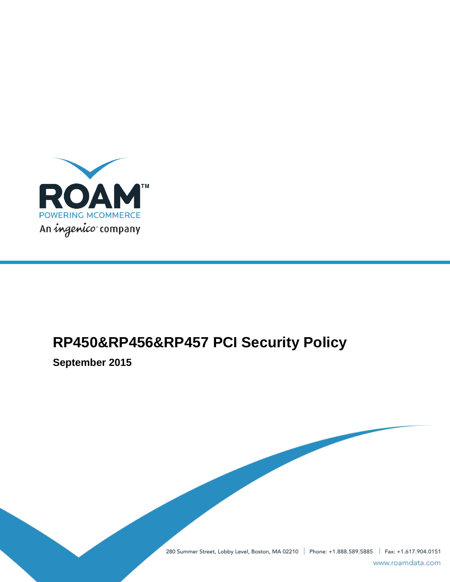

# **RP450&RP456&RP457 PCI Security Policy**

**September 2015**

280 Summer Street, Lobby Level, Boston, MA 02210 | Phone: +1.888.589.5885 | Fax: +1.617.904.0151

www.roamdata.com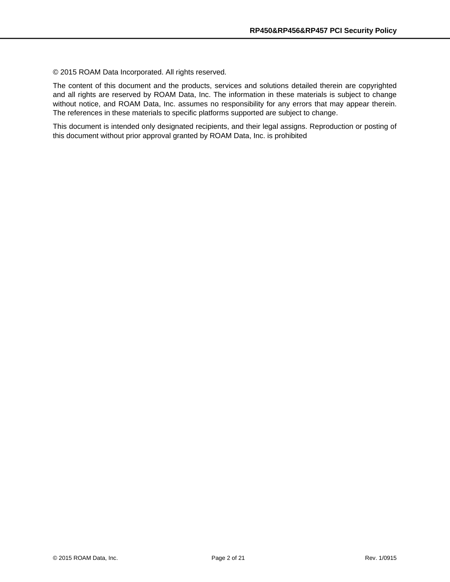© 2015 ROAM Data Incorporated. All rights reserved.

The content of this document and the products, services and solutions detailed therein are copyrighted and all rights are reserved by ROAM Data, Inc. The information in these materials is subject to change without notice, and ROAM Data, Inc. assumes no responsibility for any errors that may appear therein. The references in these materials to specific platforms supported are subject to change.

This document is intended only designated recipients, and their legal assigns. Reproduction or posting of this document without prior approval granted by ROAM Data, Inc. is prohibited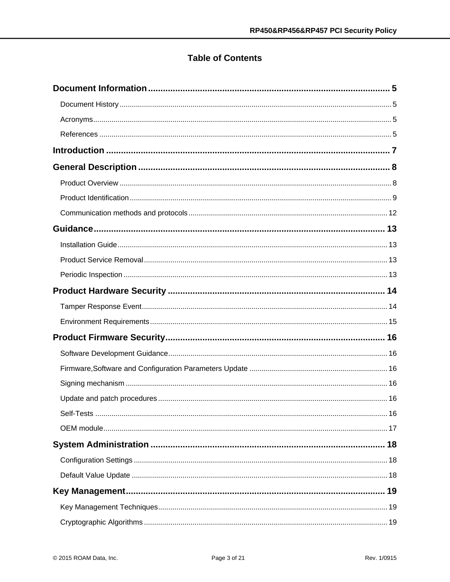# **Table of Contents**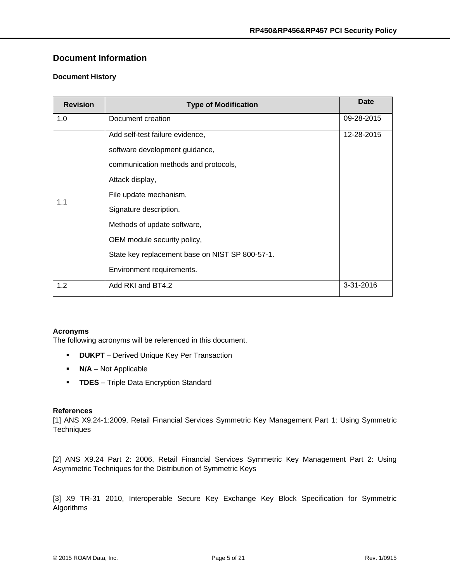## <span id="page-4-0"></span>**Document Information**

#### <span id="page-4-1"></span>**Document History**

| <b>Revision</b> | <b>Type of Modification</b>                     | <b>Date</b> |
|-----------------|-------------------------------------------------|-------------|
| 1.0             | Document creation                               | 09-28-2015  |
| 1.1             | Add self-test failure evidence,                 | 12-28-2015  |
|                 | software development guidance,                  |             |
|                 | communication methods and protocols,            |             |
|                 | Attack display,                                 |             |
|                 | File update mechanism,                          |             |
|                 | Signature description,                          |             |
|                 | Methods of update software,                     |             |
|                 | OEM module security policy,                     |             |
|                 | State key replacement base on NIST SP 800-57-1. |             |
|                 | Environment requirements.                       |             |
| 1.2             | Add RKI and BT4.2                               | 3-31-2016   |

#### <span id="page-4-2"></span>**Acronyms**

The following acronyms will be referenced in this document.

- **DUKPT** Derived Unique Key Per Transaction
- **N/A** Not Applicable
- **TDES** Triple Data Encryption Standard

#### <span id="page-4-3"></span>**References**

[1] ANS X9.24‐1:2009, Retail Financial Services Symmetric Key Management Part 1: Using Symmetric **Techniques** 

[2] ANS X9.24 Part 2: 2006, Retail Financial Services Symmetric Key Management Part 2: Using Asymmetric Techniques for the Distribution of Symmetric Keys

[3] X9 TR-31 2010, Interoperable Secure Key Exchange Key Block Specification for Symmetric Algorithms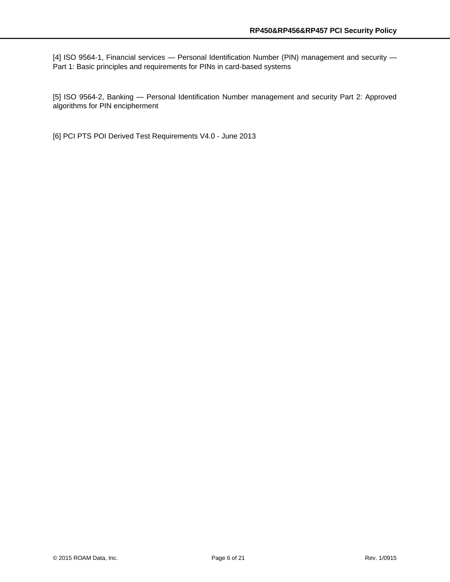[4] ISO 9564-1, Financial services — Personal Identification Number (PIN) management and security — Part 1: Basic principles and requirements for PINs in card-based systems

[5] ISO 9564-2, Banking - Personal Identification Number management and security Part 2: Approved algorithms for PIN encipherment

[6] PCI PTS POI Derived Test Requirements V4.0 ‐ June 2013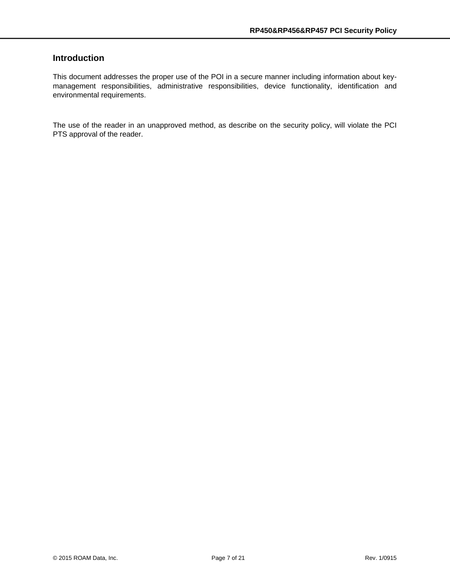# <span id="page-6-0"></span>**Introduction**

This document addresses the proper use of the POI in a secure manner including information about keymanagement responsibilities, administrative responsibilities, device functionality, identification and environmental requirements.

The use of the reader in an unapproved method, as describe on the security policy, will violate the PCI PTS approval of the reader.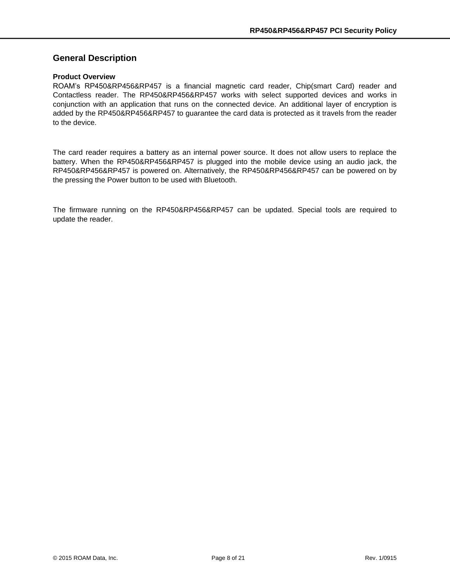## <span id="page-7-0"></span>**General Description**

#### <span id="page-7-1"></span>**Product Overview**

ROAM's RP450&RP456&RP457 is a financial magnetic card reader, Chip(smart Card) reader and Contactless reader. The RP450&RP456&RP457 works with select supported devices and works in conjunction with an application that runs on the connected device. An additional layer of encryption is added by the RP450&RP456&RP457 to guarantee the card data is protected as it travels from the reader to the device.

The card reader requires a battery as an internal power source. It does not allow users to replace the battery. When the RP450&RP456&RP457 is plugged into the mobile device using an audio jack, the RP450&RP456&RP457 is powered on. Alternatively, the RP450&RP456&RP457 can be powered on by the pressing the Power button to be used with Bluetooth.

The firmware running on the RP450&RP456&RP457 can be updated. Special tools are required to update the reader.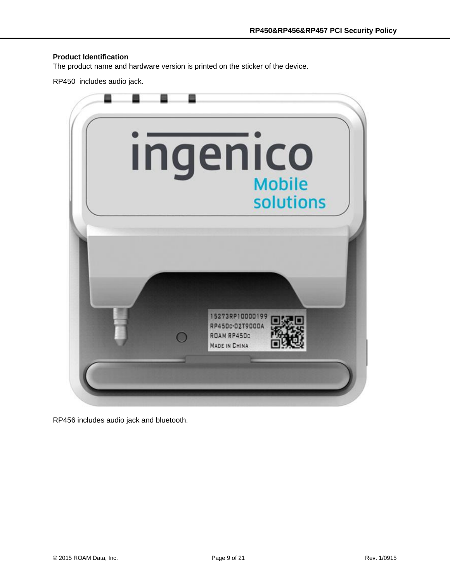#### <span id="page-8-0"></span>**Product Identification**

The product name and hardware version is printed on the sticker of the device.

RP450 includes audio jack.



RP456 includes audio jack and bluetooth.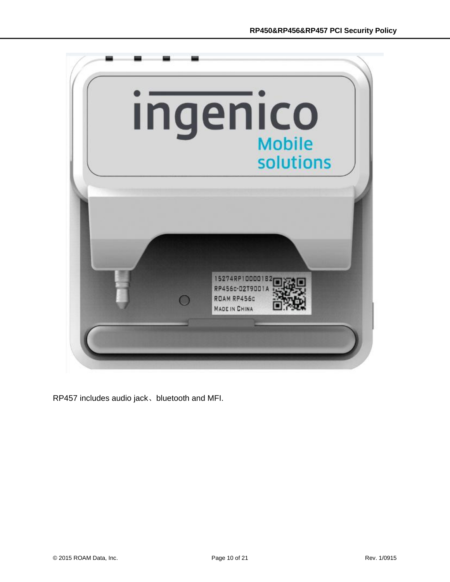

RP457 includes audio jack、bluetooth and MFI.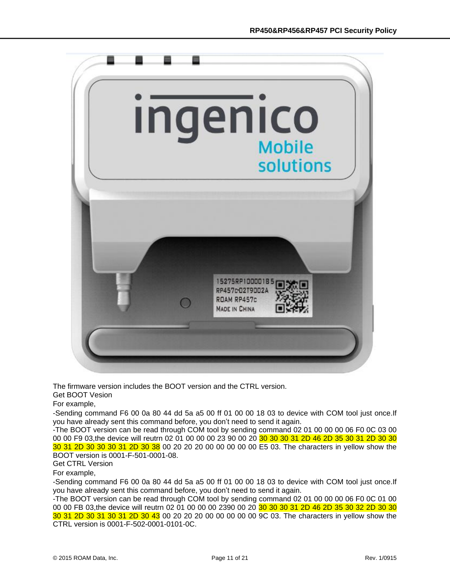

The firmware version includes the BOOT version and the CTRL version. Get BOOT Vesion

For example,

-Sending command F6 00 0a 80 44 dd 5a a5 00 ff 01 00 00 18 03 to device with COM tool just once.If you have already sent this command before, you don't need to send it again.

-The BOOT version can be read through COM tool by sending command 02 01 00 00 00 06 F0 0C 03 00 00 00 F9 03, the device will reutrn 02 01 00 00 00 23 90 00 20 30 30 30 31 2D 46 2D 35 30 31 2D 30 30 30 31 2D 30 30 30 31 2D 30 38 00 20 20 20 00 00 00 00 00 E5 03. The characters in yellow show the BOOT version is 0001-F-501-0001-08.

Get CTRL Version

For example,

-Sending command F6 00 0a 80 44 dd 5a a5 00 ff 01 00 00 18 03 to device with COM tool just once.If you have already sent this command before, you don't need to send it again.

-The BOOT version can be read through COM tool by sending command 02 01 00 00 00 06 F0 0C 01 00 00 00 FB 03, the device will reutrn 02 01 00 00 00 2390 00 20 30 30 30 31 2D 46 2D 35 30 32 2D 30 30 30 31 2D 30 31 30 31 2D 30 43 00 20 20 20 00 00 00 00 00 9C 03. The characters in yellow show the CTRL version is 0001-F-502-0001-0101-0C.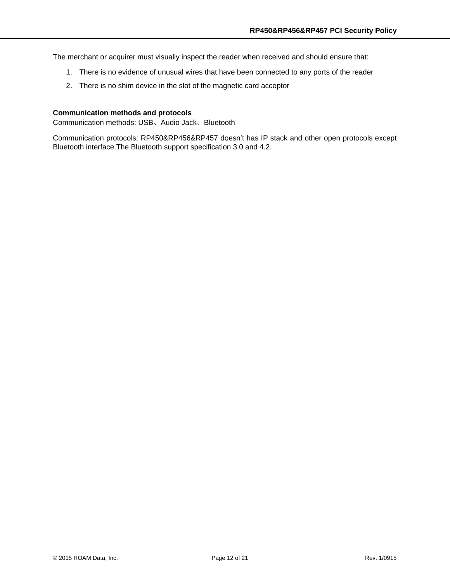The merchant or acquirer must visually inspect the reader when received and should ensure that:

- 1. There is no evidence of unusual wires that have been connected to any ports of the reader
- 2. There is no shim device in the slot of the magnetic card acceptor

#### <span id="page-11-0"></span>**Communication methods and protocols**

Communication methods: USB、Audio Jack、Bluetooth

Communication protocols: RP450&RP456&RP457 doesn't has IP stack and other open protocols except Bluetooth interface.The Bluetooth support specification 3.0 and 4.2.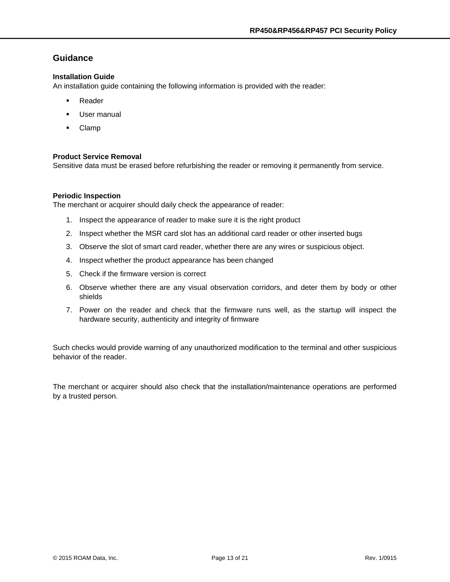## <span id="page-12-0"></span>**Guidance**

#### <span id="page-12-1"></span>**Installation Guide**

An installation guide containing the following information is provided with the reader:

- **Reader**
- User manual
- Clamp

#### <span id="page-12-2"></span>**Product Service Removal**

Sensitive data must be erased before refurbishing the reader or removing it permanently from service.

#### <span id="page-12-3"></span>**Periodic Inspection**

The merchant or acquirer should daily check the appearance of reader:

- 1. Inspect the appearance of reader to make sure it is the right product
- 2. Inspect whether the MSR card slot has an additional card reader or other inserted bugs
- 3. Observe the slot of smart card reader, whether there are any wires or suspicious object.
- 4. Inspect whether the product appearance has been changed
- 5. Check if the firmware version is correct
- 6. Observe whether there are any visual observation corridors, and deter them by body or other shields
- 7. Power on the reader and check that the firmware runs well, as the startup will inspect the hardware security, authenticity and integrity of firmware

Such checks would provide warning of any unauthorized modification to the terminal and other suspicious behavior of the reader.

The merchant or acquirer should also check that the installation/maintenance operations are performed by a trusted person.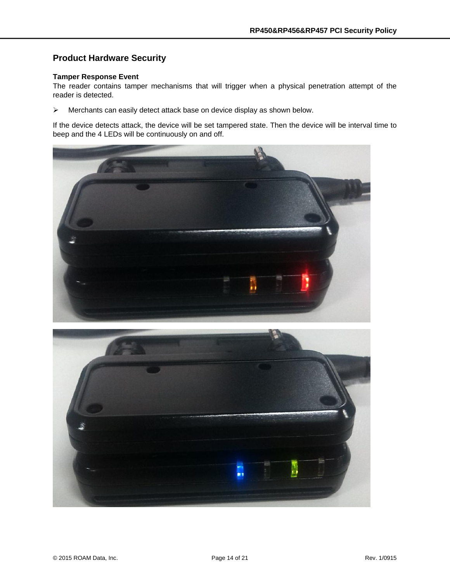# <span id="page-13-0"></span>**Product Hardware Security**

#### <span id="page-13-1"></span>**Tamper Response Event**

The reader contains tamper mechanisms that will trigger when a physical penetration attempt of the reader is detected.

Merchants can easily detect attack base on device display as shown below.

If the device detects attack, the device will be set tampered state. Then the device will be interval time to beep and the 4 LEDs will be continuously on and off.



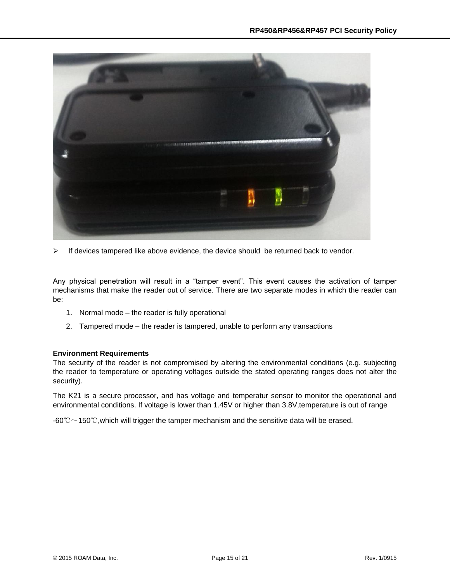

 $\triangleright$  If devices tampered like above evidence, the device should be returned back to vendor.

Any physical penetration will result in a "tamper event". This event causes the activation of tamper mechanisms that make the reader out of service. There are two separate modes in which the reader can be:

- 1. Normal mode the reader is fully operational
- 2. Tampered mode the reader is tampered, unable to perform any transactions

#### <span id="page-14-0"></span>**Environment Requirements**

The security of the reader is not compromised by altering the environmental conditions (e.g. subjecting the reader to temperature or operating voltages outside the stated operating ranges does not alter the security).

The K21 is a secure processor, and has voltage and temperatur sensor to monitor the operational and environmental conditions. If voltage is lower than 1.45V or higher than 3.8V,temperature is out of range

-60℃ $\sim$ 150℃, which will trigger the tamper mechanism and the sensitive data will be erased.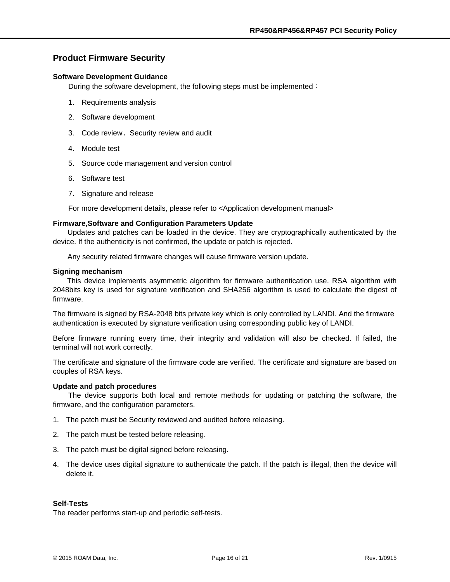## <span id="page-15-0"></span>**Product Firmware Security**

#### <span id="page-15-1"></span>**Software Development Guidance**

During the software development, the following steps must be implemented:

- 1. Requirements analysis
- 2. Software development
- 3. Code review、Security review and audit
- 4. Module test
- 5. Source code management and version control
- 6. Software test
- 7. Signature and release

For more development details, please refer to <Application development manual>

#### <span id="page-15-2"></span>**Firmware,Software and Configuration Parameters Update**

Updates and patches can be loaded in the device. They are cryptographically authenticated by the device. If the authenticity is not confirmed, the update or patch is rejected.

Any security related firmware changes will cause firmware version update.

#### <span id="page-15-3"></span>**Signing mechanism**

 This device implements asymmetric algorithm for firmware authentication use. RSA algorithm with 2048bits key is used for signature verification and SHA256 algorithm is used to calculate the digest of firmware.

The firmware is signed by RSA-2048 bits private key which is only controlled by LANDI. And the firmware authentication is executed by signature verification using corresponding public key of LANDI.

Before firmware running every time, their integrity and validation will also be checked. If failed, the terminal will not work correctly.

The certificate and signature of the firmware code are verified. The certificate and signature are based on couples of RSA keys.

#### <span id="page-15-4"></span>**Update and patch procedures**

The device supports both local and remote methods for updating or patching the software, the firmware, and the configuration parameters.

- 1. The patch must be Security reviewed and audited before releasing.
- 2. The patch must be tested before releasing.
- 3. The patch must be digital signed before releasing.
- 4. The device uses digital signature to authenticate the patch. If the patch is illegal, then the device will delete it.

#### <span id="page-15-5"></span>**Self-Tests**

The reader performs start-up and periodic self-tests.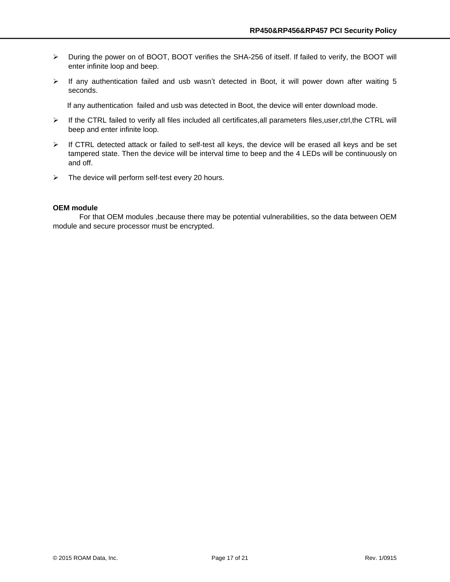- During the power on of BOOT, BOOT verifies the SHA-256 of itself. If failed to verify, the BOOT will enter infinite loop and beep.
- $\triangleright$  If any authentication failed and usb wasn't detected in Boot, it will power down after waiting 5 seconds.

If any authentication failed and usb was detected in Boot, the device will enter download mode.

- If the CTRL failed to verify all files included all certificates,all parameters files,user,ctrl,the CTRL will beep and enter infinite loop.
- $\triangleright$  If CTRL detected attack or failed to self-test all keys, the device will be erased all keys and be set tampered state. Then the device will be interval time to beep and the 4 LEDs will be continuously on and off.
- $\triangleright$  The device will perform self-test every 20 hours.

#### <span id="page-16-0"></span>**OEM module**

For that OEM modules ,because there may be potential vulnerabilities, so the data between OEM module and secure processor must be encrypted.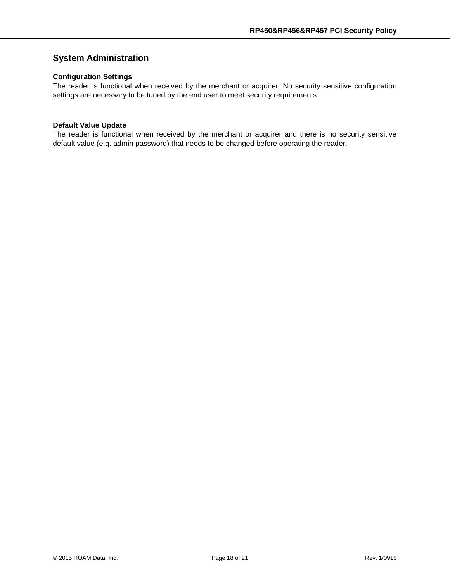# <span id="page-17-0"></span>**System Administration**

#### <span id="page-17-1"></span>**Configuration Settings**

The reader is functional when received by the merchant or acquirer. No security sensitive configuration settings are necessary to be tuned by the end user to meet security requirements.

#### <span id="page-17-2"></span>**Default Value Update**

The reader is functional when received by the merchant or acquirer and there is no security sensitive default value (e.g. admin password) that needs to be changed before operating the reader.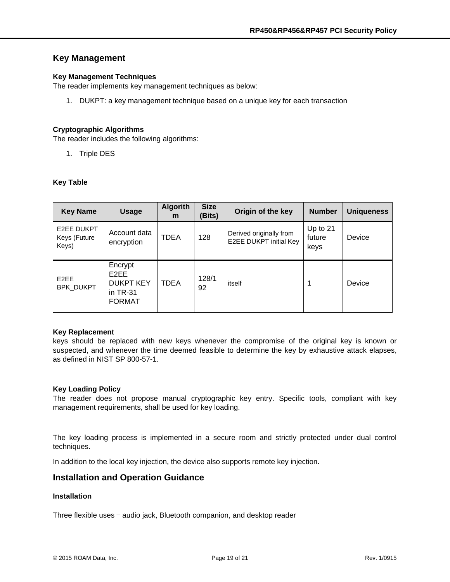## <span id="page-18-0"></span>**Key Management**

#### <span id="page-18-1"></span>**Key Management Techniques**

The reader implements key management techniques as below:

1. DUKPT: a key management technique based on a unique key for each transaction

#### <span id="page-18-2"></span>**Cryptographic Algorithms**

The reader includes the following algorithms:

1. Triple DES

#### <span id="page-18-3"></span>**Key Table**

| <b>Key Name</b>                     | <b>Usage</b>                                                                    | <b>Algorith</b><br>m | <b>Size</b><br>(Bits) | Origin of the key                                 | <b>Number</b>                | <b>Uniqueness</b> |
|-------------------------------------|---------------------------------------------------------------------------------|----------------------|-----------------------|---------------------------------------------------|------------------------------|-------------------|
| E2EE DUKPT<br>Keys (Future<br>Keys) | Account data<br>encryption                                                      | <b>TDEA</b>          | 128                   | Derived originally from<br>E2EE DUKPT initial Key | Up to $21$<br>future<br>keys | Device            |
| E <sub>2</sub> EE<br>BPK DUKPT      | Encrypt<br>E <sub>2</sub> EE<br><b>DUKPT KEY</b><br>in $TR-31$<br><b>FORMAT</b> | <b>TDEA</b>          | 128/1<br>92           | itself                                            |                              | Device            |

#### <span id="page-18-4"></span>**Key Replacement**

keys should be replaced with new keys whenever the compromise of the original key is known or suspected, and whenever the time deemed feasible to determine the key by exhaustive attack elapses, as defined in NIST SP 800-57-1.

#### <span id="page-18-5"></span>**Key Loading Policy**

The reader does not propose manual cryptographic key entry. Specific tools, compliant with key management requirements, shall be used for key loading.

The key loading process is implemented in a secure room and strictly protected under dual control techniques.

In addition to the local key injection, the device also supports remote key injection.

#### <span id="page-18-6"></span>**Installation and Operation Guidance**

#### <span id="page-18-7"></span>**Installation**

Three flexible uses – audio jack, Bluetooth companion, and desktop reader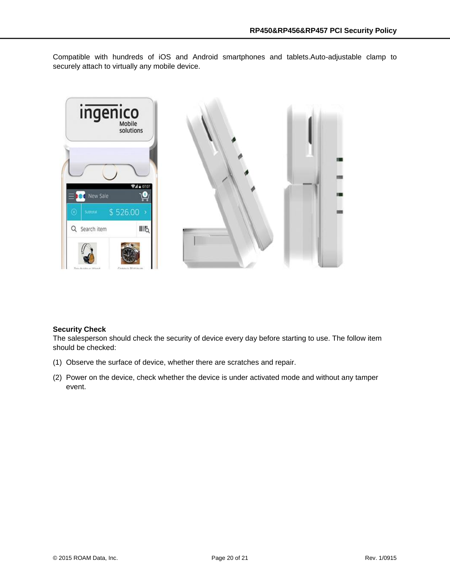Compatible with hundreds of iOS and Android smartphones and tablets.Auto-adjustable clamp to securely attach to virtually any mobile device.



#### <span id="page-19-0"></span>**Security Check**

The salesperson should check the security of device every day before starting to use. The follow item should be checked:

- (1) Observe the surface of device, whether there are scratches and repair.
- (2) Power on the device, check whether the device is under activated mode and without any tamper event.